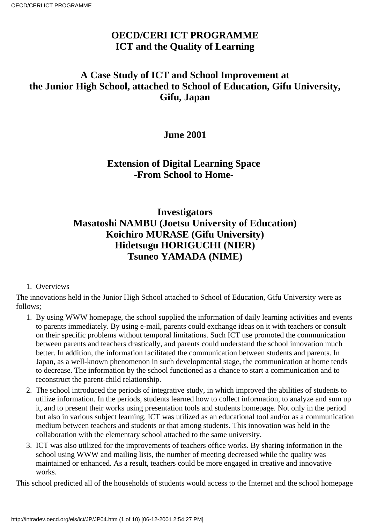# **OECD/CERI ICT PROGRAMME ICT and the Quality of Learning**

# **A Case Study of ICT and School Improvement at the Junior High School, attached to School of Education, Gifu University, Gifu, Japan**

## **June 2001**

## **Extension of Digital Learning Space -From School to Home-**

# **Investigators Masatoshi NAMBU (Joetsu University of Education) Koichiro MURASE (Gifu University) Hidetsugu HORIGUCHI (NIER) Tsuneo YAMADA (NIME)**

### 1. Overviews

The innovations held in the Junior High School attached to School of Education, Gifu University were as follows;

- 1. By using WWW homepage, the school supplied the information of daily learning activities and events to parents immediately. By using e-mail, parents could exchange ideas on it with teachers or consult on their specific problems without temporal limitations. Such ICT use promoted the communication between parents and teachers drastically, and parents could understand the school innovation much better. In addition, the information facilitated the communication between students and parents. In Japan, as a well-known phenomenon in such developmental stage, the communication at home tends to decrease. The information by the school functioned as a chance to start a communication and to reconstruct the parent-child relationship.
- The school introduced the periods of integrative study, in which improved the abilities of students to 2. utilize information. In the periods, students learned how to collect information, to analyze and sum up it, and to present their works using presentation tools and students homepage. Not only in the period but also in various subject learning, ICT was utilized as an educational tool and/or as a communication medium between teachers and students or that among students. This innovation was held in the collaboration with the elementary school attached to the same university.
- ICT was also utilized for the improvements of teachers office works. By sharing information in the 3. school using WWW and mailing lists, the number of meeting decreased while the quality was maintained or enhanced. As a result, teachers could be more engaged in creative and innovative works.

This school predicted all of the households of students would access to the Internet and the school homepage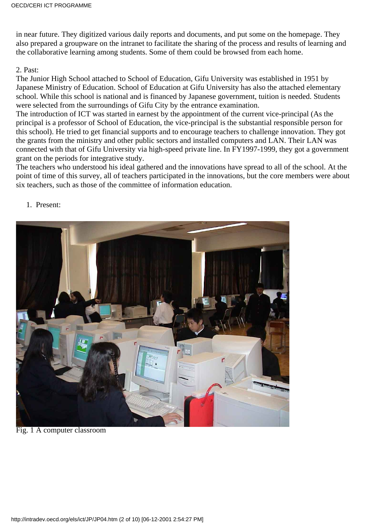in near future. They digitized various daily reports and documents, and put some on the homepage. They also prepared a groupware on the intranet to facilitate the sharing of the process and results of learning and the collaborative learning among students. Some of them could be browsed from each home.

#### 2. Past:

The Junior High School attached to School of Education, Gifu University was established in 1951 by Japanese Ministry of Education. School of Education at Gifu University has also the attached elementary school. While this school is national and is financed by Japanese government, tuition is needed. Students were selected from the surroundings of Gifu City by the entrance examination.

The introduction of ICT was started in earnest by the appointment of the current vice-principal (As the principal is a professor of School of Education, the vice-principal is the substantial responsible person for this school). He tried to get financial supports and to encourage teachers to challenge innovation. They got the grants from the ministry and other public sectors and installed computers and LAN. Their LAN was connected with that of Gifu University via high-speed private line. In FY1997-1999, they got a government grant on the periods for integrative study.

The teachers who understood his ideal gathered and the innovations have spread to all of the school. At the point of time of this survey, all of teachers participated in the innovations, but the core members were about six teachers, such as those of the committee of information education.

#### 1. Present:



Fig. 1 A computer classroom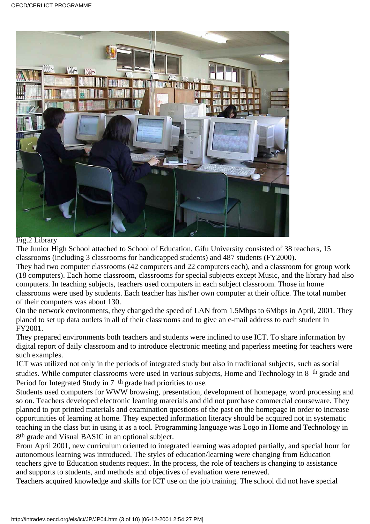

#### Fig.2 Library

The Junior High School attached to School of Education, Gifu University consisted of 38 teachers, 15 classrooms (including 3 classrooms for handicapped students) and 487 students (FY2000).

They had two computer classrooms (42 computers and 22 computers each), and a classroom for group work (18 computers). Each home classroom, classrooms for special subjects except Music, and the library had also computers. In teaching subjects, teachers used computers in each subject classroom. Those in home classrooms were used by students. Each teacher has his/her own computer at their office. The total number of their computers was about 130.

On the network environments, they changed the speed of LAN from 1.5Mbps to 6Mbps in April, 2001. They planed to set up data outlets in all of their classrooms and to give an e-mail address to each student in FY2001.

They prepared environments both teachers and students were inclined to use ICT. To share information by digital report of daily classroom and to introduce electronic meeting and paperless meeting for teachers were such examples.

ICT was utilized not only in the periods of integrated study but also in traditional subjects, such as social studies. While computer classrooms were used in various subjects, Home and Technology in 8th grade and Period for Integrated Study in 7<sup>th</sup> grade had priorities to use.

Students used computers for WWW browsing, presentation, development of homepage, word processing and so on. Teachers developed electronic learning materials and did not purchase commercial courseware. They planned to put printed materials and examination questions of the past on the homepage in order to increase opportunities of learning at home. They expected information literacy should be acquired not in systematic teaching in the class but in using it as a tool. Programming language was Logo in Home and Technology in 8th grade and Visual BASIC in an optional subject.

From April 2001, new curriculum oriented to integrated learning was adopted partially, and special hour for autonomous learning was introduced. The styles of education/learning were changing from Education teachers give to Education students request. In the process, the role of teachers is changing to assistance and supports to students, and methods and objectives of evaluation were renewed.

Teachers acquired knowledge and skills for ICT use on the job training. The school did not have special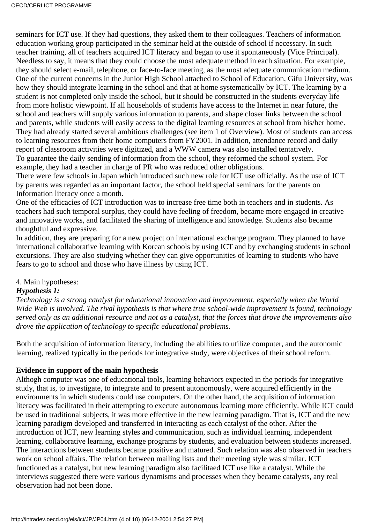seminars for ICT use. If they had questions, they asked them to their colleagues. Teachers of information education working group participated in the seminar held at the outside of school if necessary. In such teacher training, all of teachers acquired ICT literacy and began to use it spontaneously (Vice Principal). Needless to say, it means that they could choose the most adequate method in each situation. For example, they should select e-mail, telephone, or face-to-face meeting, as the most adequate communication medium. One of the current concerns in the Junior High School attached to School of Education, Gifu University, was how they should integrate learning in the school and that at home systematically by ICT. The learning by a student is not completed only inside the school, but it should be constructed in the student s everyday life from more holistic viewpoint. If all households of students have access to the Internet in near future, the school and teachers will supply various information to parents, and shape closer links between the school and parents, while students will easily access to the digital learning resources at school from his/her home. They had already started several ambitious challenges (see item 1 of Overview). Most of students can access to learning resources from their home computers from FY2001. In addition, attendance record and daily report of classroom activities were digitized, and a WWW camera was also installed tentatively. To guarantee the daily sending of information from the school, they reformed the school system. For example, they had a teacher in charge of PR who was reduced other obligations.

There were few schools in Japan which introduced such new role for ICT use officially. As the use of ICT by parents was regarded as an important factor, the school held special seminars for the parents on Information literacy once a month.

One of the efficacies of ICT introduction was to increase free time both in teachers and in students. As teachers had such temporal surplus, they could have feeling of freedom, became more engaged in creative and innovative works, and facilitated the sharing of intelligence and knowledge. Students also became thoughtful and expressive.

In addition, they are preparing for a new project on international exchange program. They planned to have international collaborative learning with Korean schools by using ICT and by exchanging students in school excursions. They are also studying whether they can give opportunities of learning to students who have fears to go to school and those who have illness by using ICT.

### 4. Main hypotheses:

### *Hypothesis 1:*

*Technology is a strong catalyst for educational innovation and improvement, especially when the World Wide Web is involved. The rival hypothesis is that where true school-wide improvement is found, technology served only as an additional resource and not as a catalyst, that the forces that drove the improvements also drove the application of technology to specific educational problems.*

Both the acquisition of information literacy, including the abilities to utilize computer, and the autonomic learning, realized typically in the periods for integrative study, were objectives of their school reform.

### **Evidence in support of the main hypothesis**

Althogh computer was one of educational tools, learning behaviors expected in the periods for integrative study, that is, to investigate, to integrate and to present autonomously, were acquired efficiently in the environments in which students could use computers. On the other hand, the acquisition of information literacy was facilitated in their attempting to execute autonomous learning more efficiently. While ICT could be used in traditional subjects, it was more effective in the new learning paradigm. That is, ICT and the new learning paradigm developed and transferred in interacting as each catalyst of the other. After the introduction of ICT, new learning styles and communication, such as individual learning, independent learning, collaborative learning, exchange programs by students, and evaluation between students increased. The interactions between students became positive and matured. Such relation was also observed in teachers work on school affairs. The relation between mailing lists and their meeting style was similar. ICT functioned as a catalyst, but new learning paradigm also facilitaed ICT use like a catalyst. While the interviews suggested there were various dynamisms and processes when they became catalysts, any real observation had not been done.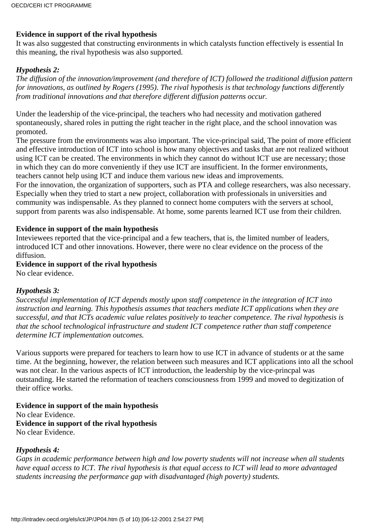### **Evidence in support of the rival hypothesis**

It was also suggested that constructing environments in which catalysts function effectively is essential In this meaning, the rival hypothesis was also supported.

### *Hypothesis 2:*

*The diffusion of the innovation/improvement (and therefore of ICT) followed the traditional diffusion pattern for innovations, as outlined by Rogers (1995). The rival hypothesis is that technology functions differently from traditional innovations and that therefore different diffusion patterns occur.*

Under the leadership of the vice-principal, the teachers who had necessity and motivation gathered spontaneously, shared roles in putting the right teacher in the right place, and the school innovation was promoted.

The pressure from the environments was also important. The vice-principal said, The point of more efficient and effective introduction of ICT into school is how many objectives and tasks that are not realized without using ICT can be created. The environments in which they cannot do without ICT use are necessary; those in which they can do more conveniently if they use ICT are insufficient. In the former environments, teachers cannot help using ICT and induce them various new ideas and improvements.

For the innovation, the organization of supporters, such as PTA and college researchers, was also necessary. Especially when they tried to start a new project, collaboration with professionals in universities and community was indispensable. As they planned to connect home computers with the servers at school, support from parents was also indispensable. At home, some parents learned ICT use from their children.

### **Evidence in support of the main hypothesis**

Inteviewees reported that the vice-principal and a few teachers, that is, the limited number of leaders, introduced ICT and other innovations. However, there were no clear evidence on the process of the diffusion.

**Evidence in support of the rival hypothesis**

No clear evidence.

### *Hypothesis 3:*

*Successful implementation of ICT depends mostly upon staff competence in the integration of ICT into instruction and learning. This hypothesis assumes that teachers mediate ICT applications when they are successful, and that ICTs academic value relates positively to teacher competence. The rival hypothesis is that the school technological infrastructure and student ICT competence rather than staff competence determine ICT implementation outcomes.*

Various supports were prepared for teachers to learn how to use ICT in advance of students or at the same time. At the beginning, however, the relation between such measures and ICT applications into all the school was not clear. In the various aspects of ICT introduction, the leadership by the vice-princpal was outstanding. He started the reformation of teachers consciousness from 1999 and moved to degitization of their office works.

**Evidence in support of the main hypothesis** No clear Evidence. **Evidence in support of the rival hypothesis** No clear Evidence.

### *Hypothesis 4:*

*Gaps in academic performance between high and low poverty students will not increase when all students have equal access to ICT. The rival hypothesis is that equal access to ICT will lead to more advantaged students increasing the performance gap with disadvantaged (high poverty) students.*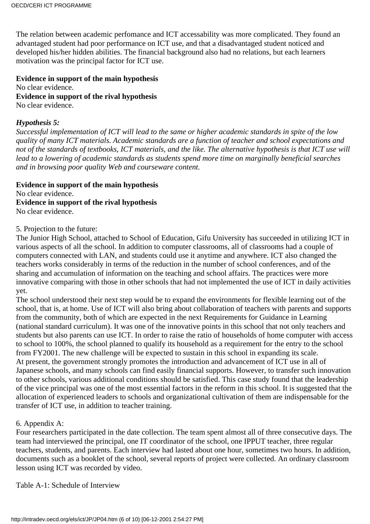The relation between academic perfomance and ICT accessability was more complicated. They found an advantaged student had poor performance on ICT use, and that a disadvantaged student noticed and developed his/her hidden abilities. The financial background also had no relations, but each learner s motivation was the principal factor for ICT use.

**Evidence in support of the main hypothesis** No clear evidence. **Evidence in support of the rival hypothesis** No clear evidence.

#### *Hypothesis 5:*

*Successful implementation of ICT will lead to the same or higher academic standards in spite of the low quality of many ICT materials. Academic standards are a function of teacher and school expectations and* not of the standards of textbooks, ICT materials, and the like. The alternative hypothesis is that ICT use will *lead to a lowering of academic standards as students spend more time on marginally beneficial searches and in browsing poor quality Web and courseware content.*

**Evidence in support of the main hypothesis** No clear evidence. **Evidence in support of the rival hypothesis** No clear evidence.

#### 5. Projection to the future:

The Junior High School, attached to School of Education, Gifu University has succeeded in utilizing ICT in various aspects of all the school. In addition to computer classrooms, all of classrooms had a couple of computers connected with LAN, and students could use it anytime and anywhere. ICT also changed the teachers works considerably in terms of the reduction in the number of school conferences, and of the sharing and accumulation of information on the teaching and school affairs. The practices were more innovative comparing with those in other schools that had not implemented the use of ICT in daily activities yet.

The school understood their next step would be to expand the environments for flexible learning out of the school, that is, at home. Use of ICT will also bring about collaboration of teachers with parents and supports from the community, both of which are expected in the next Requirements for Guidance in Learning (national standard curriculum). It was one of the innovative points in this school that not only teachers and students but also parents can use ICT. In order to raise the ratio of households of home computer with access to school to 100%, the school planned to qualify its household as a requirement for the entry to the school from FY2001. The new challenge will be expected to sustain in this school in expanding its scale. At present, the government strongly promotes the introduction and advancement of ICT use in all of Japanese schools, and many schools can find easily financial supports. However, to transfer such innovation to other schools, various additional conditions should be satisfied. This case study found that the leadership of the vice principal was one of the most essential factors in the reform in this school. It is suggested that the allocation of experienced leaders to schools and organizational cultivation of them are indispensable for the transfer of ICT use, in addition to teacher training.

#### 6. Appendix A:

Four researchers participated in the date collection. The team spent almost all of three consecutive days. The team had interviewed the principal, one IT coordinator of the school, one IPPUT teacher, three regular teachers, students, and parents. Each interview had lasted about one hour, sometimes two hours. In addition, documents such as a booklet of the school, several reports of project were collected. An ordinary classroom lesson using ICT was recorded by video.

Table A-1: Schedule of Interview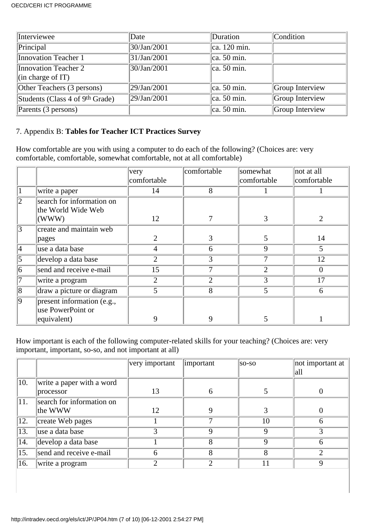| Interviewee                                 | Date        | Duration                | Condition       |
|---------------------------------------------|-------------|-------------------------|-----------------|
| Principal                                   | 30/Jan/2001 | $ ca. 120 \text{ min.}$ |                 |
| Innovation Teacher 1                        | 31/Jan/2001 | $\alpha$ . 50 min.      |                 |
| Innovation Teacher 2                        | 30/Jan/2001 | $\alpha$ . 50 min.      |                 |
| $\left\vert$ (in charge of IT)              |             |                         |                 |
| Other Teachers (3 persons)                  | 29/Jan/2001 | $ ca. 50 \text{ min.}$  | Group Interview |
| Students (Class 4 of 9 <sup>th</sup> Grade) | 29/Jan/2001 | $\alpha$ . 50 min.      | Group Interview |
| Parents (3 persons)                         |             | $ ca. 50 \text{ min.}$  | Group Interview |

### 7. Appendix B: **Tables for Teacher ICT Practices Survey**

How comfortable are you with using a computer to do each of the following? (Choices are: very comfortable, comfortable, somewhat comfortable, not at all comfortable)

|             |                                                 | very           | comfortable    | somewhat       | not at all                  |
|-------------|-------------------------------------------------|----------------|----------------|----------------|-----------------------------|
|             |                                                 | comfortable    |                | comfortable    | comfortable                 |
|             | write a paper                                   | 14             | 8              |                |                             |
| 12          | search for information on<br>the World Wide Web |                |                |                |                             |
|             | (WWW)                                           | 12             |                | 3              | $\mathcal{D}_{\mathcal{A}}$ |
| 3           | create and maintain web                         |                |                |                |                             |
|             | pages                                           | $\overline{2}$ | 3              | 5              | 14                          |
| 4           | use a data base                                 | 4              | 6              | 9              | 5                           |
| 5           | develop a data base                             | 2              | 3              |                | 12                          |
| 16          | send and receive e-mail                         | 15             |                | $\overline{2}$ | $\Omega$                    |
| 17          | write a program                                 | 2              | $\overline{2}$ | 3              | 17                          |
| 8           | draw a picture or diagram                       |                | 8              | 5              | 6                           |
| $ 9\rangle$ | present information (e.g.,<br>use PowerPoint or | 9              | 9              |                |                             |
|             | equivalent)                                     |                |                |                |                             |

How important is each of the following computer-related skills for your teaching? (Choices are: very important, important, so-so, and not important at all)

|     |                           | very important | important     | $ so-so $ | not important at<br> all |
|-----|---------------------------|----------------|---------------|-----------|--------------------------|
| 10. | write a paper with a word |                |               |           |                          |
|     | processor                 | 13             | 6             |           |                          |
| 11. | search for information on |                |               |           |                          |
|     | the WWW                   | 12             | Q             |           |                          |
| 12. | create Web pages          |                |               | 10        | h                        |
| 13. | use a data base           |                | Q             | Q         |                          |
| 14. | develop a data base       |                | 8             | 9         | 6                        |
| 15. | send and receive e-mail   |                |               | 8         |                          |
| 16. | write a program           | ◠              | $\mathcal{D}$ | 11        | 9                        |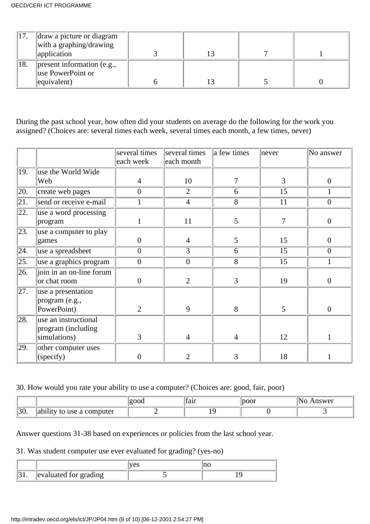|     | draw a picture or diagram<br>with a graphing/drawing<br>application               |  |  |
|-----|-----------------------------------------------------------------------------------|--|--|
| 18. | $\parallel$ present information (e.g.,<br>use PowerPoint or<br>$\leq$ equivalent) |  |  |

During the past school year, how often did your students on average do the following for the work you assigned? (Choices are: several times each week, several times each month, a few times, never)

|                   |                          | several times    | several times    | a few times    | never          | No answer        |
|-------------------|--------------------------|------------------|------------------|----------------|----------------|------------------|
|                   |                          | each week        | each month       |                |                |                  |
| 19.               | use the World Wide       |                  |                  |                |                |                  |
|                   | Web                      | $\overline{4}$   | 10               | 7              | 3              | $\overline{0}$   |
| 20.               | create web pages         | $\overline{0}$   | $\overline{2}$   | 6              | 15             | 1                |
| $\overline{21}$ . | send or receive e-mail   |                  | $\overline{4}$   | $\overline{8}$ | 11             | $\overline{0}$   |
| $\sqrt{22}$ .     | use a word processing    |                  |                  |                |                |                  |
|                   | program                  | $\mathbf{1}$     | 11               | 5              | $\overline{7}$ | $\mathbf{0}$     |
| $\overline{23}$ . | use a computer to play   |                  |                  |                |                |                  |
|                   | games                    | $\boldsymbol{0}$ | $\overline{4}$   | 5              | 15             | $\boldsymbol{0}$ |
| $\overline{24}$ . | use a spreadsheet        | $\overline{0}$   | $\overline{3}$   | 6              | 15             | $\overline{0}$   |
| $\sqrt{25}$ .     | use a graphics program   | $\boldsymbol{0}$ | $\boldsymbol{0}$ | 8              | 15             | 1                |
| $\overline{26}$ . | join in an on-line forum |                  |                  |                |                |                  |
|                   | or chat room             | $\boldsymbol{0}$ | $\overline{2}$   | $\overline{3}$ | 19             | $\theta$         |
| 27.               | use a presentation       |                  |                  |                |                |                  |
|                   | program (e.g.,           |                  |                  |                |                |                  |
|                   | PowerPoint)              | $\overline{2}$   | 9                | 8              | 5              | $\overline{0}$   |
| 28.               | use an instructional     |                  |                  |                |                |                  |
|                   | program (including       |                  |                  |                |                |                  |
|                   | simulations)             | 3                | 4                | $\overline{4}$ | 12             | 1                |
| 29.               | other computer uses      |                  |                  |                |                |                  |
|                   | (specify)                | $\overline{0}$   | $\overline{2}$   | 3              | 18             |                  |

## 30. How would you rate your ability to use a computer? (Choices are: good, fair, poor)

|             |                                                         | тап | ıswer |
|-------------|---------------------------------------------------------|-----|-------|
| ∩∼ا<br>IJU. | .<br>puter<br>usc<br>u<br>CUILI<br>$\ddot{\phantom{0}}$ |     |       |

Answer questions 31-38 based on experiences or policies from the last school year.

## 31. Was student computer use ever evaluated for grading? (yes-no)

|                       | τ7Δ0 |  |
|-----------------------|------|--|
| evaluated for grading |      |  |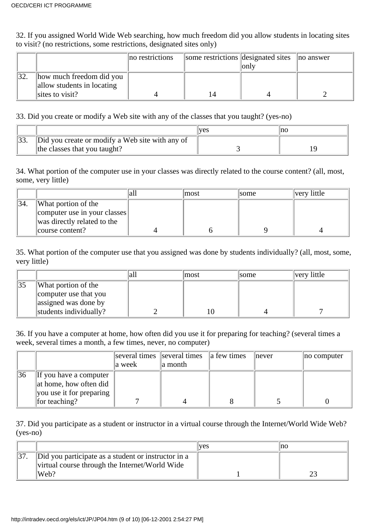32. If you assigned World Wide Web searching, how much freedom did you allow students in locating sites to visit? (no restrictions, some restrictions, designated sites only)

|                                                        | no restrictions | some restrictions designated sites | loniv | no answer |
|--------------------------------------------------------|-----------------|------------------------------------|-------|-----------|
| how much freedom did you<br>allow students in locating |                 |                                    |       |           |
| sites to visit?                                        |                 | 14                                 |       |           |

33. Did you create or modify a Web site with any of the classes that you taught? (yes-no)

|                                                 | <b>ves</b> | no |
|-------------------------------------------------|------------|----|
| Did you create or modify a Web site with any of |            |    |
| the classes that you taught?                    |            |    |

34. What portion of the computer use in your classes was directly related to the course content? (all, most, some, very little)

|                              | 'an | lmost | some | very little |
|------------------------------|-----|-------|------|-------------|
| What portion of the          |     |       |      |             |
| computer use in your classes |     |       |      |             |
| was directly related to the  |     |       |      |             |
| course content?              |     |       |      |             |

35. What portion of the computer use that you assigned was done by students individually? (all, most, some, very little)

|                        | lmost | <i>some</i> | very little |
|------------------------|-------|-------------|-------------|
| What portion of the    |       |             |             |
| computer use that you  |       |             |             |
| assigned was done by   |       |             |             |
| students individually? |       |             |             |

36. If you have a computer at home, how often did you use it for preparing for teaching? (several times a week, several times a month, a few times, never, no computer)

|                                                                                                     | a week | several times several times all few times<br>a month | never | no computer |
|-----------------------------------------------------------------------------------------------------|--------|------------------------------------------------------|-------|-------------|
| 36<br>If you have a computer<br>at home, how often did<br>you use it for preparing<br>for teaching? |        |                                                      |       |             |

37. Did you participate as a student or instructor in a virtual course through the Internet/World Wide Web? (yes-no)

|                                                                                                               | lves | Ino |  |  |
|---------------------------------------------------------------------------------------------------------------|------|-----|--|--|
| Did you participate as a student or instructor in a<br>virtual course through the Internet/World Wide<br>Web? |      |     |  |  |